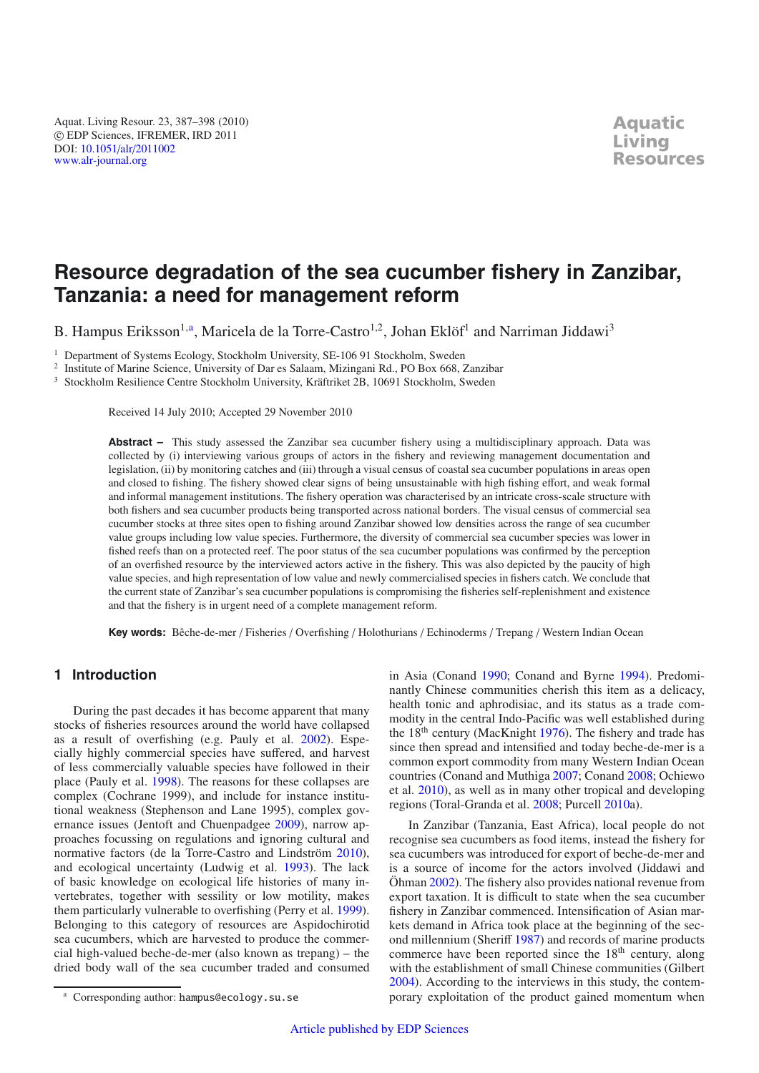Aquat. Living Resour. 23, 387–398 (2010) -c EDP Sciences, IFREMER, IRD 2011 DOI: 10.1051/alr/[2011002](http://dx.doi.org/10.1051/alr/2011002) [www.alr-journal.org](http://www.alr-journal.org)

# **Resource degradation of the sea cucumber fishery in Zanzibar, Tanzania: a need for management reform**

B. Hampus Eriksson<sup>1,a</sup>, Maricela de la Torre-Castro<sup>1,2</sup>, Johan Eklöf<sup>1</sup> and Narriman Jiddawi<sup>3</sup>

<sup>1</sup> Department of Systems Ecology, Stockholm University, SE-106 91 Stockholm, Sweden

<sup>2</sup> Institute of Marine Science, University of Dar es Salaam, Mizingani Rd., PO Box 668, Zanzibar

<sup>3</sup> Stockholm Resilience Centre Stockholm University, Kräftriket 2B, 10691 Stockholm, Sweden

Received 14 July 2010; Accepted 29 November 2010

**Abstract –** This study assessed the Zanzibar sea cucumber fishery using a multidisciplinary approach. Data was collected by (i) interviewing various groups of actors in the fishery and reviewing management documentation and legislation, (ii) by monitoring catches and (iii) through a visual census of coastal sea cucumber populations in areas open and closed to fishing. The fishery showed clear signs of being unsustainable with high fishing effort, and weak formal and informal management institutions. The fishery operation was characterised by an intricate cross-scale structure with both fishers and sea cucumber products being transported across national borders. The visual census of commercial sea cucumber stocks at three sites open to fishing around Zanzibar showed low densities across the range of sea cucumber value groups including low value species. Furthermore, the diversity of commercial sea cucumber species was lower in fished reefs than on a protected reef. The poor status of the sea cucumber populations was confirmed by the perception of an overfished resource by the interviewed actors active in the fishery. This was also depicted by the paucity of high value species, and high representation of low value and newly commercialised species in fishers catch. We conclude that the current state of Zanzibar's sea cucumber populations is compromising the fisheries self-replenishment and existence and that the fishery is in urgent need of a complete management reform.

**Key words:** Bêche-de-mer / Fisheries / Overfishing / Holothurians / Echinoderms / Trepang / Western Indian Ocean

# **1 Introduction**

During the past decades it has become apparent that many stocks of fisheries resources around the world have collapsed as a result of overfishing (e.g. Pauly et al. [2002\)](#page-10-0). Especially highly commercial species have suffered, and harvest of less commercially valuable species have followed in their place (Pauly et al. [1998\)](#page-10-1). The reasons for these collapses are complex (Cochrane 1999), and include for instance institutional weakness (Stephenson and Lane 1995), complex governance issues (Jentoft and Chuenpadgee [2009\)](#page-10-2), narrow approaches focussing on regulations and ignoring cultural and normative factors (de la Torre-Castro and Lindström [2010](#page-9-0)), and ecological uncertainty (Ludwig et al. [1993\)](#page-10-3). The lack of basic knowledge on ecological life histories of many invertebrates, together with sessility or low motility, makes them particularly vulnerable to overfishing (Perry et al. [1999](#page-10-4)). Belonging to this category of resources are Aspidochirotid sea cucumbers, which are harvested to produce the commercial high-valued beche-de-mer (also known as trepang) – the dried body wall of the sea cucumber traded and consumed in Asia (Conand [1990;](#page-9-1) Conand and Byrne [1994\)](#page-9-2). Predominantly Chinese communities cherish this item as a delicacy, health tonic and aphrodisiac, and its status as a trade commodity in the central Indo-Pacific was well established during the  $18<sup>th</sup>$  century (MacKnight [1976](#page-10-5)). The fishery and trade has since then spread and intensified and today beche-de-mer is a common export commodity from many Western Indian Ocean countries (Conand and Muthiga [2007;](#page-9-3) Conand [2008](#page-9-4); Ochiewo et al. [2010](#page-10-6)), as well as in many other tropical and developing regions (Toral-Granda et al. [2008](#page-11-0); Purcell [2010](#page-10-7)a).

In Zanzibar (Tanzania, East Africa), local people do not recognise sea cucumbers as food items, instead the fishery for sea cucumbers was introduced for export of beche-de-mer and is a source of income for the actors involved (Jiddawi and Öhman [2002\)](#page-10-8). The fishery also provides national revenue from export taxation. It is difficult to state when the sea cucumber fishery in Zanzibar commenced. Intensification of Asian markets demand in Africa took place at the beginning of the second millennium (Sheriff [1987\)](#page-10-9) and records of marine products commerce have been reported since the 18<sup>th</sup> century, along with the establishment of small Chinese communities (Gilbert [2004\)](#page-10-10). According to the interviews in this study, the contemporary exploitation of the product gained momentum when

<sup>a</sup> Corresponding author: hampus@ecology.su.se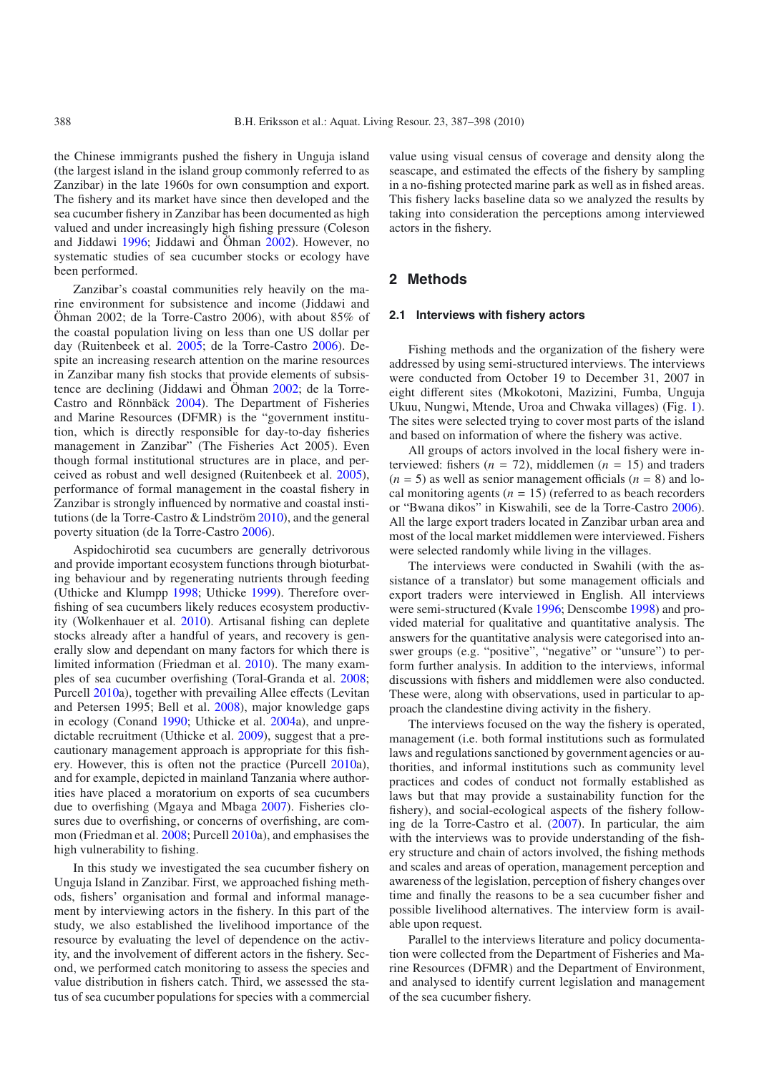the Chinese immigrants pushed the fishery in Unguja island (the largest island in the island group commonly referred to as Zanzibar) in the late 1960s for own consumption and export. The fishery and its market have since then developed and the sea cucumber fishery in Zanzibar has been documented as high valued and under increasingly high fishing pressure (Coleson and Jiddawi [1996;](#page-9-5) Jiddawi and Öhman [2002\)](#page-10-8). However, no systematic studies of sea cucumber stocks or ecology have been performed.

Zanzibar's coastal communities rely heavily on the marine environment for subsistence and income (Jiddawi and Öhman 2002; de la Torre-Castro 2006), with about 85% of the coastal population living on less than one US dollar per day (Ruitenbeek et al. [2005;](#page-10-11) de la Torre-Castro [2006\)](#page-9-6). Despite an increasing research attention on the marine resources in Zanzibar many fish stocks that provide elements of subsistence are declining (Jiddawi and Öhman [2002](#page-10-8); de la Torre-Castro and Rönnbäck [2004\)](#page-9-7). The Department of Fisheries and Marine Resources (DFMR) is the "government institution, which is directly responsible for day-to-day fisheries management in Zanzibar" (The Fisheries Act 2005). Even though formal institutional structures are in place, and perceived as robust and well designed (Ruitenbeek et al. [2005](#page-10-11)), performance of formal management in the coastal fishery in Zanzibar is strongly influenced by normative and coastal institutions (de la Torre-Castro & Lindström [2010](#page-9-0)), and the general poverty situation (de la Torre-Castro [2006\)](#page-9-6).

Aspidochirotid sea cucumbers are generally detrivorous and provide important ecosystem functions through bioturbating behaviour and by regenerating nutrients through feeding (Uthicke and Klumpp [1998;](#page-11-1) Uthicke [1999\)](#page-11-2). Therefore overfishing of sea cucumbers likely reduces ecosystem productivity (Wolkenhauer et al. [2010\)](#page-11-3). Artisanal fishing can deplete stocks already after a handful of years, and recovery is generally slow and dependant on many factors for which there is limited information (Friedman et al. [2010](#page-10-12)). The many examples of sea cucumber overfishing (Toral-Granda et al. [2008](#page-11-0); Purcell [2010](#page-10-7)a), together with prevailing Allee effects (Levitan and Petersen 1995; Bell et al. [2008\)](#page-9-8), major knowledge gaps in ecology (Conand [1990;](#page-9-1) Uthicke et al. [2004](#page-11-4)a), and unpredictable recruitment (Uthicke et al. [2009\)](#page-11-5), suggest that a precautionary management approach is appropriate for this fishery. However, this is often not the practice (Purcell [2010a](#page-10-7)), and for example, depicted in mainland Tanzania where authorities have placed a moratorium on exports of sea cucumbers due to overfishing (Mgaya and Mbaga [2007\)](#page-10-13). Fisheries closures due to overfishing, or concerns of overfishing, are common (Friedman et al. [2008;](#page-10-14) Purcell [2010a](#page-10-7)), and emphasises the high vulnerability to fishing.

In this study we investigated the sea cucumber fishery on Unguja Island in Zanzibar. First, we approached fishing methods, fishers' organisation and formal and informal management by interviewing actors in the fishery. In this part of the study, we also established the livelihood importance of the resource by evaluating the level of dependence on the activity, and the involvement of different actors in the fishery. Second, we performed catch monitoring to assess the species and value distribution in fishers catch. Third, we assessed the status of sea cucumber populations for species with a commercial

value using visual census of coverage and density along the seascape, and estimated the effects of the fishery by sampling in a no-fishing protected marine park as well as in fished areas. This fishery lacks baseline data so we analyzed the results by taking into consideration the perceptions among interviewed actors in the fishery.

# **2 Methods**

#### **2.1 Interviews with fishery actors**

Fishing methods and the organization of the fishery were addressed by using semi-structured interviews. The interviews were conducted from October 19 to December 31, 2007 in eight different sites (Mkokotoni, Mazizini, Fumba, Unguja Ukuu, Nungwi, Mtende, Uroa and Chwaka villages) (Fig. [1\)](#page-2-0). The sites were selected trying to cover most parts of the island and based on information of where the fishery was active.

All groups of actors involved in the local fishery were interviewed: fishers  $(n = 72)$ , middlemen  $(n = 15)$  and traders  $(n = 5)$  as well as senior management officials  $(n = 8)$  and local monitoring agents  $(n = 15)$  (referred to as beach recorders or "Bwana dikos" in Kiswahili, see de la Torre-Castro [2006\)](#page-9-6). All the large export traders located in Zanzibar urban area and most of the local market middlemen were interviewed. Fishers were selected randomly while living in the villages.

The interviews were conducted in Swahili (with the assistance of a translator) but some management officials and export traders were interviewed in English. All interviews were semi-structured (Kvale [1996](#page-10-15); Denscombe [1998](#page-9-9)) and provided material for qualitative and quantitative analysis. The answers for the quantitative analysis were categorised into answer groups (e.g. "positive", "negative" or "unsure") to perform further analysis. In addition to the interviews, informal discussions with fishers and middlemen were also conducted. These were, along with observations, used in particular to approach the clandestine diving activity in the fishery.

The interviews focused on the way the fishery is operated, management (i.e. both formal institutions such as formulated laws and regulations sanctioned by government agencies or authorities, and informal institutions such as community level practices and codes of conduct not formally established as laws but that may provide a sustainability function for the fishery), and social-ecological aspects of the fishery following de la Torre-Castro et al. [\(2007](#page-9-10)). In particular, the aim with the interviews was to provide understanding of the fishery structure and chain of actors involved, the fishing methods and scales and areas of operation, management perception and awareness of the legislation, perception of fishery changes over time and finally the reasons to be a sea cucumber fisher and possible livelihood alternatives. The interview form is available upon request.

Parallel to the interviews literature and policy documentation were collected from the Department of Fisheries and Marine Resources (DFMR) and the Department of Environment, and analysed to identify current legislation and management of the sea cucumber fishery.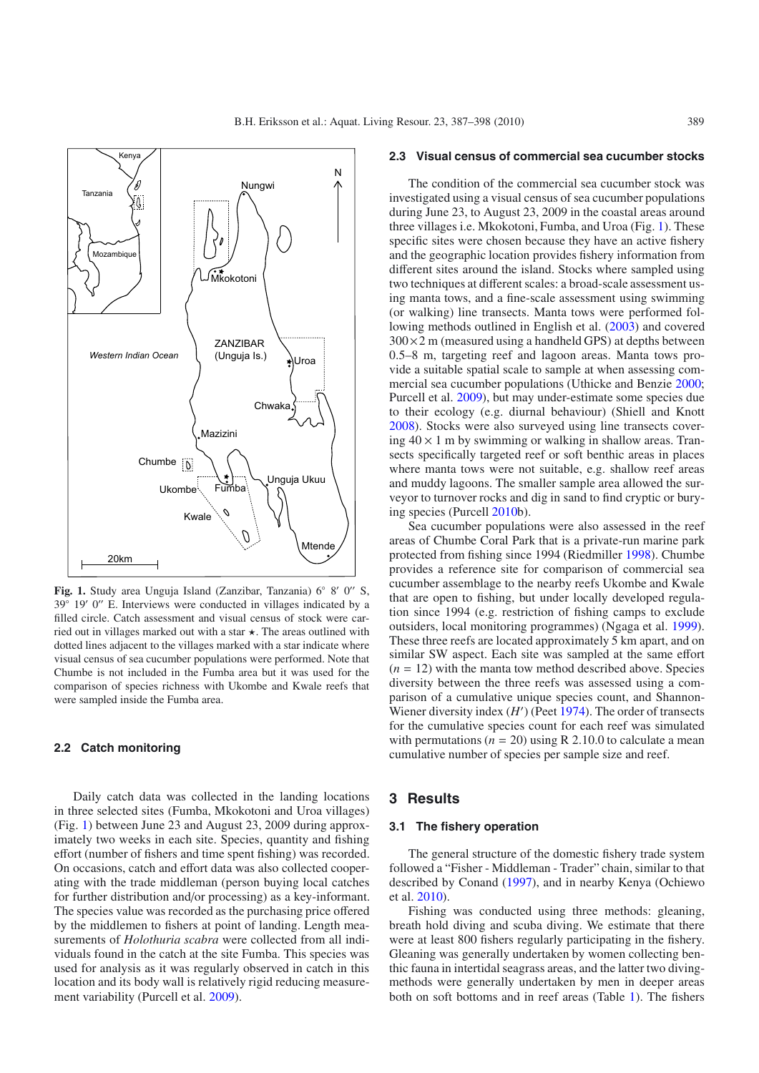

<span id="page-2-0"></span>Fig. 1. Study area Unguja Island (Zanzibar, Tanzania) 6° 8′ 0″ S,  $39°$  19′ 0″ E. Interviews were conducted in villages indicated by a filled circle. Catch assessment and visual census of stock were carried out in villages marked out with a star  $\star$ . The areas outlined with dotted lines adjacent to the villages marked with a star indicate where visual census of sea cucumber populations were performed. Note that Chumbe is not included in the Fumba area but it was used for the comparison of species richness with Ukombe and Kwale reefs that were sampled inside the Fumba area.

## **2.2 Catch monitoring**

Daily catch data was collected in the landing locations in three selected sites (Fumba, Mkokotoni and Uroa villages) (Fig. [1\)](#page-2-0) between June 23 and August 23, 2009 during approximately two weeks in each site. Species, quantity and fishing effort (number of fishers and time spent fishing) was recorded. On occasions, catch and effort data was also collected cooperating with the trade middleman (person buying local catches for further distribution and/or processing) as a key-informant. The species value was recorded as the purchasing price offered by the middlemen to fishers at point of landing. Length measurements of *Holothuria scabra* were collected from all individuals found in the catch at the site Fumba. This species was used for analysis as it was regularly observed in catch in this location and its body wall is relatively rigid reducing measurement variability (Purcell et al. [2009\)](#page-10-16).

## **2.3 Visual census of commercial sea cucumber stocks**

The condition of the commercial sea cucumber stock was investigated using a visual census of sea cucumber populations during June 23, to August 23, 2009 in the coastal areas around three villages i.e. Mkokotoni, Fumba, and Uroa (Fig. [1\)](#page-2-0). These specific sites were chosen because they have an active fishery and the geographic location provides fishery information from different sites around the island. Stocks where sampled using two techniques at different scales: a broad-scale assessment using manta tows, and a fine-scale assessment using swimming (or walking) line transects. Manta tows were performed following methods outlined in English et al. [\(2003](#page-9-11)) and covered  $300\times2$  m (measured using a handheld GPS) at depths between 0.5–8 m, targeting reef and lagoon areas. Manta tows provide a suitable spatial scale to sample at when assessing commercial sea cucumber populations (Uthicke and Benzie [2000;](#page-11-6) Purcell et al. [2009\)](#page-10-16), but may under-estimate some species due to their ecology (e.g. diurnal behaviour) (Shiell and Knott [2008\)](#page-10-17). Stocks were also surveyed using line transects covering  $40 \times 1$  m by swimming or walking in shallow areas. Transects specifically targeted reef or soft benthic areas in places where manta tows were not suitable, e.g. shallow reef areas and muddy lagoons. The smaller sample area allowed the surveyor to turnover rocks and dig in sand to find cryptic or burying species (Purcell [2010b](#page-10-18)).

Sea cucumber populations were also assessed in the reef areas of Chumbe Coral Park that is a private-run marine park protected from fishing since 1994 (Riedmiller [1998\)](#page-10-19). Chumbe provides a reference site for comparison of commercial sea cucumber assemblage to the nearby reefs Ukombe and Kwale that are open to fishing, but under locally developed regulation since 1994 (e.g. restriction of fishing camps to exclude outsiders, local monitoring programmes) (Ngaga et al. [1999\)](#page-10-20). These three reefs are located approximately 5 km apart, and on similar SW aspect. Each site was sampled at the same effort  $(n = 12)$  with the manta tow method described above. Species diversity between the three reefs was assessed using a comparison of a cumulative unique species count, and Shannon-Wiener diversity index (*H'*) (Peet [1974](#page-10-21)). The order of transects for the cumulative species count for each reef was simulated with permutations ( $n = 20$ ) using R 2.10.0 to calculate a mean cumulative number of species per sample size and reef.

## **3 Results**

## **3.1 The fishery operation**

The general structure of the domestic fishery trade system followed a "Fisher - Middleman - Trader" chain, similar to that described by Conand [\(1997\)](#page-9-12), and in nearby Kenya (Ochiewo et al. [2010](#page-10-6)).

Fishing was conducted using three methods: gleaning, breath hold diving and scuba diving. We estimate that there were at least 800 fishers regularly participating in the fishery. Gleaning was generally undertaken by women collecting benthic fauna in intertidal seagrass areas, and the latter two divingmethods were generally undertaken by men in deeper areas both on soft bottoms and in reef areas (Table [1\)](#page-3-0). The fishers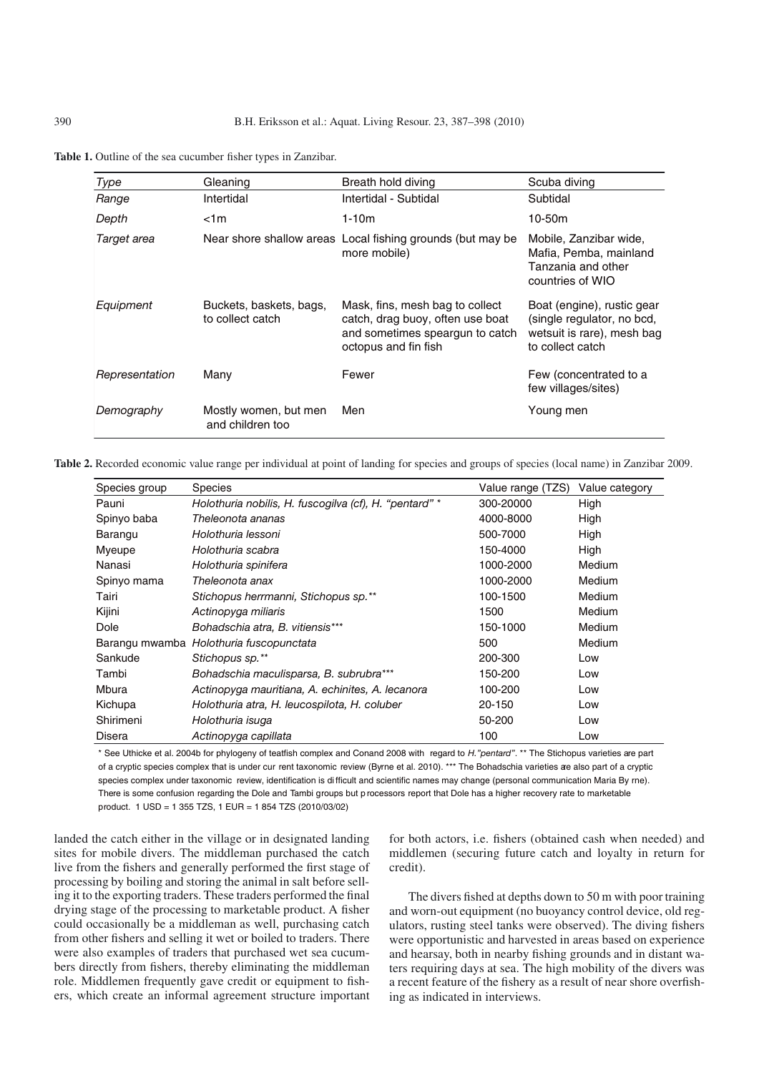<span id="page-3-1"></span><span id="page-3-0"></span>**Table 1.** Outline of the sea cucumber fisher types in Zanzibar.

| Type           | Gleaning                                    | Breath hold diving                                                                                                             | Scuba diving                                                                                               |
|----------------|---------------------------------------------|--------------------------------------------------------------------------------------------------------------------------------|------------------------------------------------------------------------------------------------------------|
| Range          | Intertidal                                  | Intertidal - Subtidal                                                                                                          | Subtidal                                                                                                   |
| Depth          | < 1m                                        | 1-10m                                                                                                                          | 10-50m                                                                                                     |
| Target area    |                                             | Near shore shallow areas Local fishing grounds (but may be<br>more mobile)                                                     | Mobile, Zanzibar wide,<br>Mafia, Pemba, mainland<br>Tanzania and other<br>countries of WIO                 |
| Equipment      | Buckets, baskets, bags,<br>to collect catch | Mask, fins, mesh bag to collect<br>catch, drag buoy, often use boat<br>and sometimes speargun to catch<br>octopus and fin fish | Boat (engine), rustic gear<br>(single regulator, no bcd,<br>wetsuit is rare), mesh bag<br>to collect catch |
| Representation | Many                                        | Fewer                                                                                                                          | Few (concentrated to a<br>few villages/sites)                                                              |
| Demography     | Mostly women, but men<br>and children too   | Men                                                                                                                            | Young men                                                                                                  |

**Table 2.** Recorded economic value range per individual at point of landing for species and groups of species (local name) in Zanzibar 2009.

| Species group | <b>Species</b>                                         | Value range (TZS) | Value category |
|---------------|--------------------------------------------------------|-------------------|----------------|
| Pauni         | Holothuria nobilis, H. fuscogilva (cf), H. "pentard" * | 300-20000         | High           |
| Spinyo baba   | Theleonota ananas                                      | 4000-8000         | High           |
| Barangu       | Holothuria lessoni                                     | 500-7000          | High           |
| Myeupe        | Holothuria scabra                                      | 150-4000          | High           |
| Nanasi        | Holothuria spinifera                                   | 1000-2000         | Medium         |
| Spinyo mama   | Theleonota anax                                        | 1000-2000         | <b>Medium</b>  |
| Tairi         | Stichopus herrmanni, Stichopus sp.**                   | 100-1500          | <b>Medium</b>  |
| Kijini        | Actinopyga miliaris                                    | 1500              | <b>Medium</b>  |
| Dole          | Bohadschia atra, B. vitiensis***                       | 150-1000          | Medium         |
|               | Barangu mwamba Holothuria fuscopunctata                | 500               | <b>Medium</b>  |
| Sankude       | Stichopus sp.**                                        | 200-300           | Low            |
| Tambi         | Bohadschia maculisparsa, B. subrubra***                | 150-200           | Low            |
| Mbura         | Actinopyga mauritiana, A. echinites, A. lecanora       | 100-200           | Low            |
| Kichupa       | Holothuria atra, H. leucospilota, H. coluber           | 20-150            | Low            |
| Shirimeni     | Holothuria isuga                                       | 50-200            | Low            |
| <b>Disera</b> | Actinopyga capillata                                   | 100               | Low            |

\* See Uthicke et al. 2004b for phylogeny of teatfish complex and Conand 2008 with regard to *H."pentard"*. \*\* The Stichopus varieties are part of a cryptic species complex that is under cur rent taxonomic review (Byrne et al. 2010). \*\*\* The Bohadschia varieties are also part of a cryptic species complex under taxonomic review, identification is di fficult and scientific names may change (personal communication Maria By rne). There is some confusion regarding the Dole and Tambi groups but p rocessors report that Dole has a higher recovery rate to marketable product. 1 USD = 1 355 TZS, 1 EUR = 1 854 TZS (2010/03/02)

landed the catch either in the village or in designated landing sites for mobile divers. The middleman purchased the catch live from the fishers and generally performed the first stage of processing by boiling and storing the animal in salt before selling it to the exporting traders. These traders performed the final drying stage of the processing to marketable product. A fisher could occasionally be a middleman as well, purchasing catch from other fishers and selling it wet or boiled to traders. There were also examples of traders that purchased wet sea cucumbers directly from fishers, thereby eliminating the middleman role. Middlemen frequently gave credit or equipment to fishers, which create an informal agreement structure important for both actors, i.e. fishers (obtained cash when needed) and middlemen (securing future catch and loyalty in return for credit).

The divers fished at depths down to 50 m with poor training and worn-out equipment (no buoyancy control device, old regulators, rusting steel tanks were observed). The diving fishers were opportunistic and harvested in areas based on experience and hearsay, both in nearby fishing grounds and in distant waters requiring days at sea. The high mobility of the divers was a recent feature of the fishery as a result of near shore overfishing as indicated in interviews.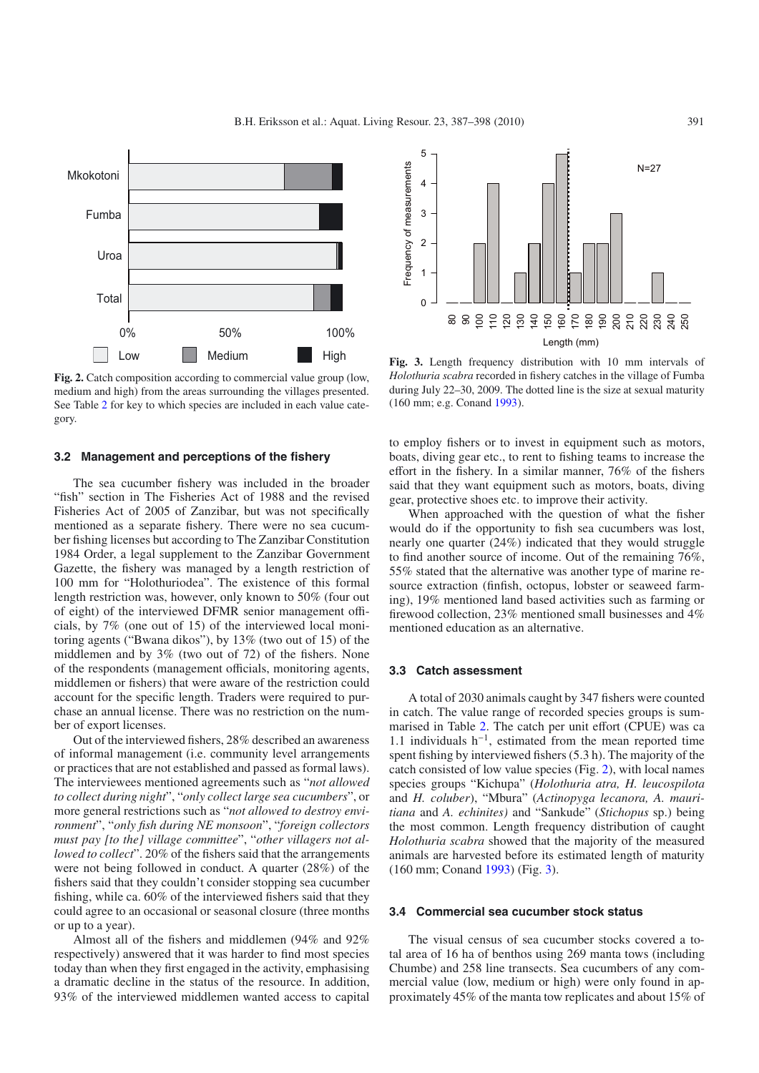<span id="page-4-0"></span>

**Fig. 2.** Catch composition according to commercial value group (low, medium and high) from the areas surrounding the villages presented. See Table [2](#page-3-1) for key to which species are included in each value category.

### **3.2 Management and perceptions of the fishery**

The sea cucumber fishery was included in the broader "fish" section in The Fisheries Act of 1988 and the revised Fisheries Act of 2005 of Zanzibar, but was not specifically mentioned as a separate fishery. There were no sea cucumber fishing licenses but according to The Zanzibar Constitution 1984 Order, a legal supplement to the Zanzibar Government Gazette, the fishery was managed by a length restriction of 100 mm for "Holothuriodea". The existence of this formal length restriction was, however, only known to 50% (four out of eight) of the interviewed DFMR senior management officials, by 7% (one out of 15) of the interviewed local monitoring agents ("Bwana dikos"), by 13% (two out of 15) of the middlemen and by 3% (two out of 72) of the fishers. None of the respondents (management officials, monitoring agents, middlemen or fishers) that were aware of the restriction could account for the specific length. Traders were required to purchase an annual license. There was no restriction on the number of export licenses.

Out of the interviewed fishers, 28% described an awareness of informal management (i.e. community level arrangements or practices that are not established and passed as formal laws). The interviewees mentioned agreements such as "*not allowed to collect during night*", "*only collect large sea cucumbers*", or more general restrictions such as "*not allowed to destroy environment*", "*only fish during NE monsoon*", "*foreign collectors must pay [to the] village committee*", "*other villagers not allowed to collect*". 20% of the fishers said that the arrangements were not being followed in conduct. A quarter (28%) of the fishers said that they couldn't consider stopping sea cucumber fishing, while ca. 60% of the interviewed fishers said that they could agree to an occasional or seasonal closure (three months or up to a year).

Almost all of the fishers and middlemen (94% and 92% respectively) answered that it was harder to find most species today than when they first engaged in the activity, emphasising a dramatic decline in the status of the resource. In addition, 93% of the interviewed middlemen wanted access to capital

<span id="page-4-1"></span>

**Fig. 3.** Length frequency distribution with 10 mm intervals of *Holothuria scabra* recorded in fishery catches in the village of Fumba during July 22–30, 2009. The dotted line is the size at sexual maturity (160 mm; e.g. Conand [1993](#page-9-13)).

to employ fishers or to invest in equipment such as motors, boats, diving gear etc., to rent to fishing teams to increase the effort in the fishery. In a similar manner, 76% of the fishers said that they want equipment such as motors, boats, diving gear, protective shoes etc. to improve their activity.

When approached with the question of what the fisher would do if the opportunity to fish sea cucumbers was lost, nearly one quarter (24%) indicated that they would struggle to find another source of income. Out of the remaining 76%, 55% stated that the alternative was another type of marine resource extraction (finfish, octopus, lobster or seaweed farming), 19% mentioned land based activities such as farming or firewood collection, 23% mentioned small businesses and 4% mentioned education as an alternative.

# **3.3 Catch assessment**

A total of 2030 animals caught by 347 fishers were counted in catch. The value range of recorded species groups is summarised in Table [2.](#page-3-1) The catch per unit effort (CPUE) was ca 1.1 individuals h−1, estimated from the mean reported time spent fishing by interviewed fishers (5.3 h). The majority of the catch consisted of low value species (Fig. [2\)](#page-4-0), with local names species groups "Kichupa" (*Holothuria atra, H. leucospilota* and *H. coluber*), "Mbura" (*Actinopyga lecanora, A. mauritiana* and *A. echinites)* and "Sankude" (*Stichopus* sp.) being the most common. Length frequency distribution of caught *Holothuria scabra* showed that the majority of the measured animals are harvested before its estimated length of maturity (160 mm; Conand [1993\)](#page-9-13) (Fig. [3\)](#page-4-1).

#### **3.4 Commercial sea cucumber stock status**

The visual census of sea cucumber stocks covered a total area of 16 ha of benthos using 269 manta tows (including Chumbe) and 258 line transects. Sea cucumbers of any commercial value (low, medium or high) were only found in approximately 45% of the manta tow replicates and about 15% of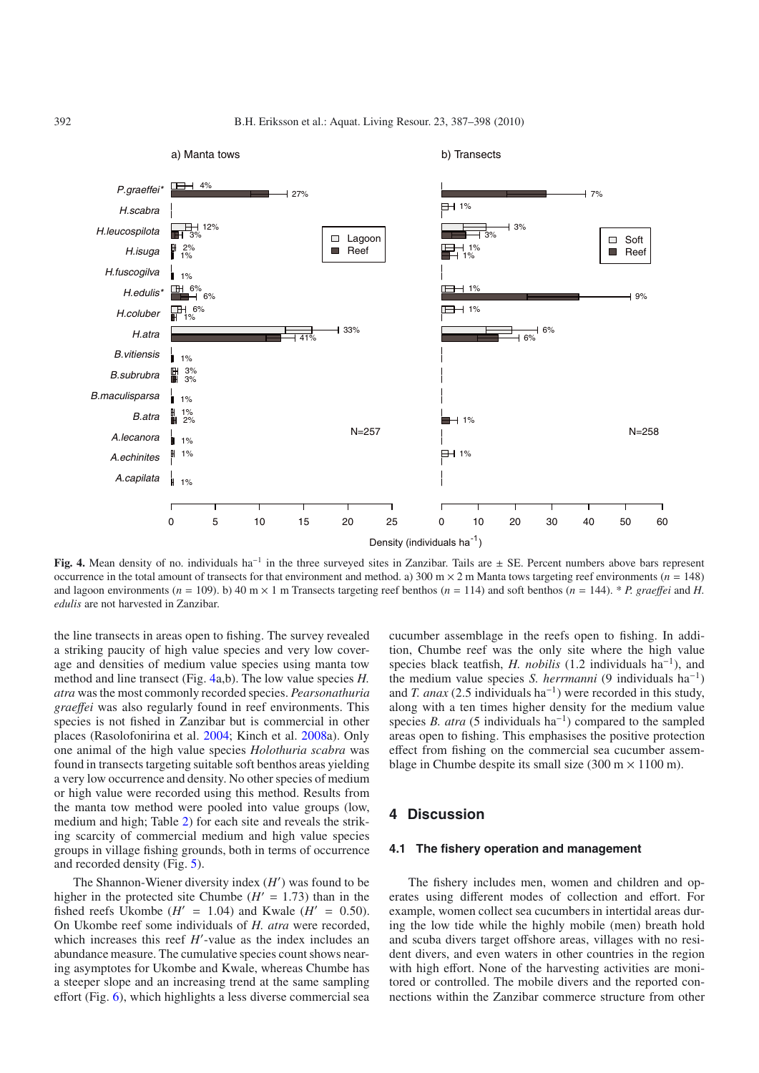b) Transects



<span id="page-5-0"></span>**Fig. 4.** Mean density of no. individuals ha−<sup>1</sup> in the three surveyed sites in Zanzibar. Tails are ± SE. Percent numbers above bars represent occurrence in the total amount of transects for that environment and method. a)  $300 \text{ m} \times 2 \text{ m}$  Manta tows targeting reef environments ( $n = 148$ ) and lagoon environments ( $n = 109$ ). b) 40 m  $\times$  1 m Transects targeting reef benthos ( $n = 114$ ) and soft benthos ( $n = 144$ ). \* *P. graeffei* and *H*. *edulis* are not harvested in Zanzibar.

the line transects in areas open to fishing. The survey revealed a striking paucity of high value species and very low coverage and densities of medium value species using manta tow method and line transect (Fig. [4a](#page-5-0),b). The low value species *H. atra* was the most commonly recorded species. *Pearsonathuria grae*ff*ei* was also regularly found in reef environments. This species is not fished in Zanzibar but is commercial in other places (Rasolofonirina et al. [2004;](#page-10-22) Kinch et al. [2008a](#page-10-23)). Only one animal of the high value species *Holothuria scabra* was found in transects targeting suitable soft benthos areas yielding a very low occurrence and density. No other species of medium or high value were recorded using this method. Results from the manta tow method were pooled into value groups (low, medium and high; Table [2\)](#page-3-1) for each site and reveals the striking scarcity of commercial medium and high value species groups in village fishing grounds, both in terms of occurrence and recorded density (Fig. [5\)](#page-6-0).

a) Manta tows

The Shannon-Wiener diversity index (*H* ) was found to be higher in the protected site Chumbe  $(H' = 1.73)$  than in the fished reefs Ukombe  $(H' = 1.04)$  and Kwale  $(H' = 0.50)$ . On Ukombe reef some individuals of *H. atra* were recorded, which increases this reef *H*'-value as the index includes an abundance measure. The cumulative species count shows nearing asymptotes for Ukombe and Kwale, whereas Chumbe has a steeper slope and an increasing trend at the same sampling effort (Fig. [6\)](#page-6-1), which highlights a less diverse commercial sea

cucumber assemblage in the reefs open to fishing. In addition, Chumbe reef was the only site where the high value species black teatfish, *H. nobilis* (1.2 individuals ha<sup>−1</sup>), and the medium value species *S. herrmanni* (9 individuals ha−1) and *T. anax* (2.5 individuals ha<sup> $-1$ </sup>) were recorded in this study, along with a ten times higher density for the medium value species *B. atra* (5 individuals ha<sup>−1</sup>) compared to the sampled areas open to fishing. This emphasises the positive protection effect from fishing on the commercial sea cucumber assemblage in Chumbe despite its small size (300 m  $\times$  1100 m).

# **4 Discussion**

# **4.1 The fishery operation and management**

The fishery includes men, women and children and operates using different modes of collection and effort. For example, women collect sea cucumbers in intertidal areas during the low tide while the highly mobile (men) breath hold and scuba divers target offshore areas, villages with no resident divers, and even waters in other countries in the region with high effort. None of the harvesting activities are monitored or controlled. The mobile divers and the reported connections within the Zanzibar commerce structure from other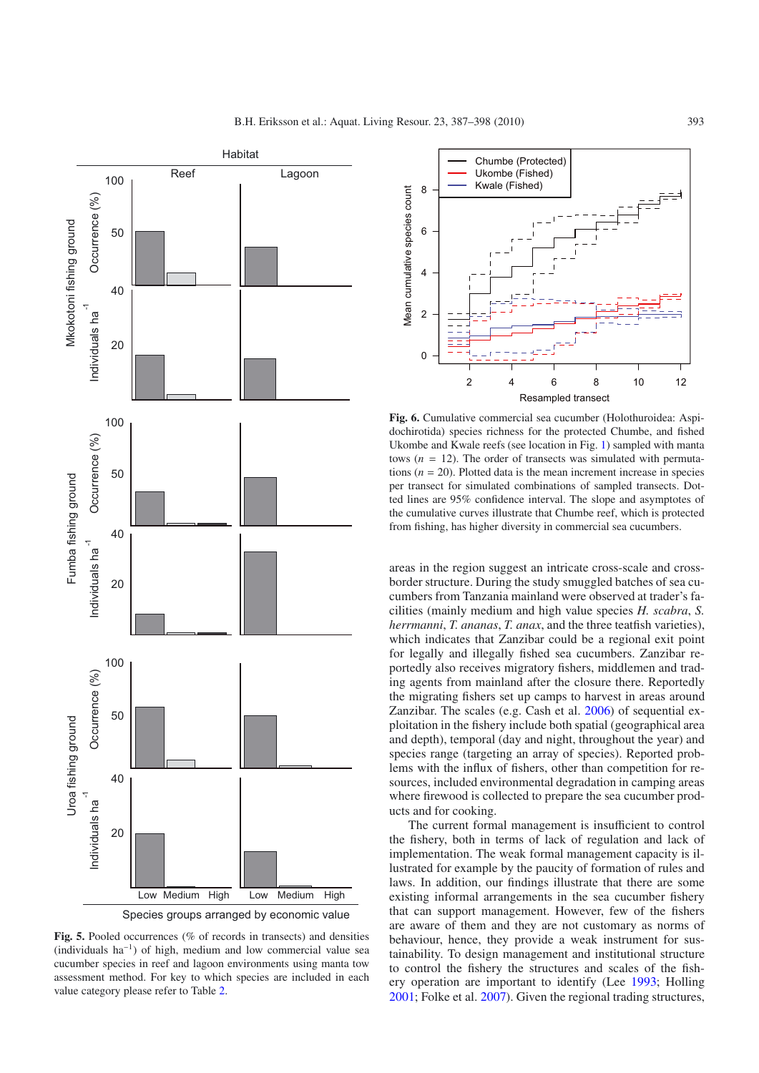

Species groups arranged by economic value

<span id="page-6-0"></span>**Fig. 5.** Pooled occurrences (% of records in transects) and densities (individuals ha−1) of high, medium and low commercial value sea cucumber species in reef and lagoon environments using manta tow assessment method. For key to which species are included in each value category please refer to Table [2.](#page-3-1)

<span id="page-6-1"></span>

**Fig. 6.** Cumulative commercial sea cucumber (Holothuroidea: Aspidochirotida) species richness for the protected Chumbe, and fished Ukombe and Kwale reefs (see location in Fig. [1\)](#page-2-0) sampled with manta tows  $(n = 12)$ . The order of transects was simulated with permutations  $(n = 20)$ . Plotted data is the mean increment increase in species per transect for simulated combinations of sampled transects. Dotted lines are 95% confidence interval. The slope and asymptotes of the cumulative curves illustrate that Chumbe reef, which is protected from fishing, has higher diversity in commercial sea cucumbers.

areas in the region suggest an intricate cross-scale and crossborder structure. During the study smuggled batches of sea cucumbers from Tanzania mainland were observed at trader's facilities (mainly medium and high value species *H. scabra*, *S. herrmanni*, *T. ananas*, *T. anax*, and the three teatfish varieties), which indicates that Zanzibar could be a regional exit point for legally and illegally fished sea cucumbers. Zanzibar reportedly also receives migratory fishers, middlemen and trading agents from mainland after the closure there. Reportedly the migrating fishers set up camps to harvest in areas around Zanzibar. The scales (e.g. Cash et al. [2006\)](#page-9-14) of sequential exploitation in the fishery include both spatial (geographical area and depth), temporal (day and night, throughout the year) and species range (targeting an array of species). Reported problems with the influx of fishers, other than competition for resources, included environmental degradation in camping areas where firewood is collected to prepare the sea cucumber products and for cooking.

The current formal management is insufficient to control the fishery, both in terms of lack of regulation and lack of implementation. The weak formal management capacity is illustrated for example by the paucity of formation of rules and laws. In addition, our findings illustrate that there are some existing informal arrangements in the sea cucumber fishery that can support management. However, few of the fishers are aware of them and they are not customary as norms of behaviour, hence, they provide a weak instrument for sustainability. To design management and institutional structure to control the fishery the structures and scales of the fishery operation are important to identify (Lee [1993](#page-10-24); Holling [2001;](#page-10-25) Folke et al. [2007\)](#page-9-15). Given the regional trading structures,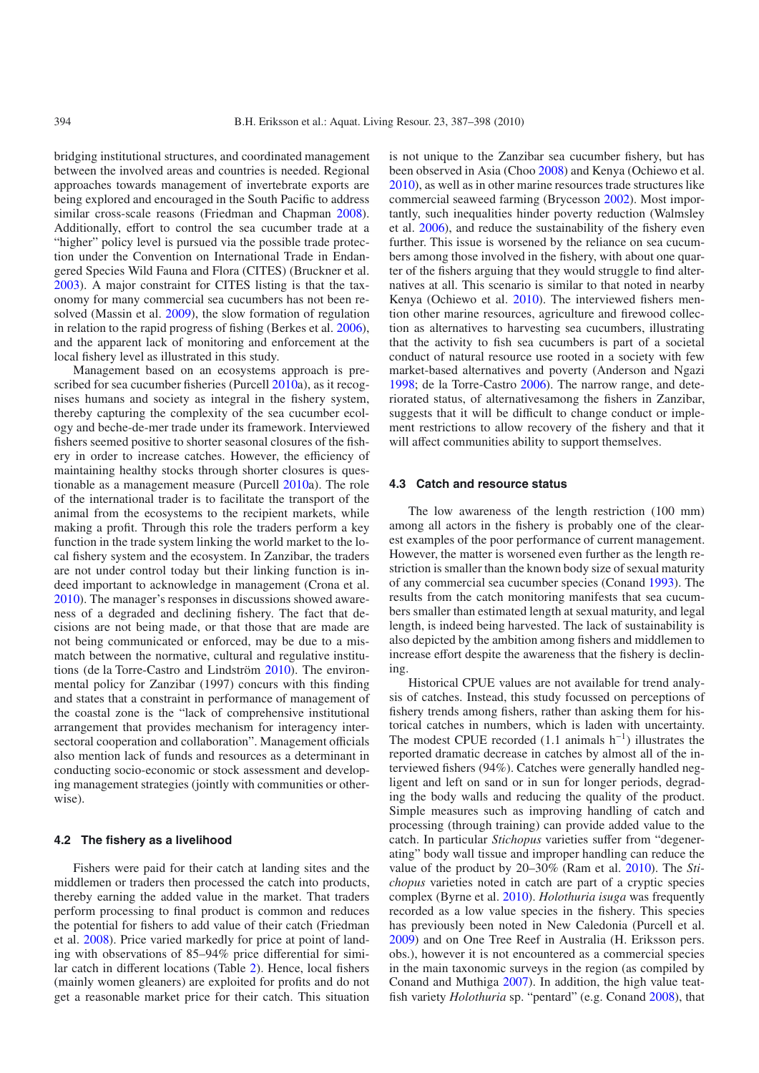bridging institutional structures, and coordinated management between the involved areas and countries is needed. Regional approaches towards management of invertebrate exports are being explored and encouraged in the South Pacific to address similar cross-scale reasons (Friedman and Chapman [2008](#page-10-26)). Additionally, effort to control the sea cucumber trade at a "higher" policy level is pursued via the possible trade protection under the Convention on International Trade in Endangered Species Wild Fauna and Flora (CITES) (Bruckner et al. [2003\)](#page-9-16). A major constraint for CITES listing is that the taxonomy for many commercial sea cucumbers has not been resolved (Massin et al. [2009\)](#page-10-27), the slow formation of regulation in relation to the rapid progress of fishing (Berkes et al. [2006](#page-9-17)), and the apparent lack of monitoring and enforcement at the local fishery level as illustrated in this study.

Management based on an ecosystems approach is pre-scribed for sea cucumber fisheries (Purcell [2010a](#page-10-7)), as it recognises humans and society as integral in the fishery system, thereby capturing the complexity of the sea cucumber ecology and beche-de-mer trade under its framework. Interviewed fishers seemed positive to shorter seasonal closures of the fishery in order to increase catches. However, the efficiency of maintaining healthy stocks through shorter closures is questionable as a management measure (Purcell [2010](#page-10-7)a). The role of the international trader is to facilitate the transport of the animal from the ecosystems to the recipient markets, while making a profit. Through this role the traders perform a key function in the trade system linking the world market to the local fishery system and the ecosystem. In Zanzibar, the traders are not under control today but their linking function is indeed important to acknowledge in management (Crona et al. [2010\)](#page-9-18). The manager's responses in discussions showed awareness of a degraded and declining fishery. The fact that decisions are not being made, or that those that are made are not being communicated or enforced, may be due to a mismatch between the normative, cultural and regulative institutions (de la Torre-Castro and Lindström [2010\)](#page-9-0). The environmental policy for Zanzibar (1997) concurs with this finding and states that a constraint in performance of management of the coastal zone is the "lack of comprehensive institutional arrangement that provides mechanism for interagency intersectoral cooperation and collaboration". Management officials also mention lack of funds and resources as a determinant in conducting socio-economic or stock assessment and developing management strategies (jointly with communities or otherwise).

#### **4.2 The fishery as a livelihood**

Fishers were paid for their catch at landing sites and the middlemen or traders then processed the catch into products, thereby earning the added value in the market. That traders perform processing to final product is common and reduces the potential for fishers to add value of their catch (Friedman et al. [2008\)](#page-10-14). Price varied markedly for price at point of landing with observations of 85–94% price differential for similar catch in different locations (Table [2\)](#page-3-1). Hence, local fishers (mainly women gleaners) are exploited for profits and do not get a reasonable market price for their catch. This situation

is not unique to the Zanzibar sea cucumber fishery, but has been observed in Asia (Choo [2008\)](#page-9-19) and Kenya (Ochiewo et al. [2010\)](#page-10-6), as well as in other marine resources trade structures like commercial seaweed farming (Brycesson [2002\)](#page-9-20). Most importantly, such inequalities hinder poverty reduction (Walmsley et al. [2006\)](#page-11-7), and reduce the sustainability of the fishery even further. This issue is worsened by the reliance on sea cucumbers among those involved in the fishery, with about one quarter of the fishers arguing that they would struggle to find alternatives at all. This scenario is similar to that noted in nearby Kenya (Ochiewo et al. [2010\)](#page-10-6). The interviewed fishers mention other marine resources, agriculture and firewood collection as alternatives to harvesting sea cucumbers, illustrating that the activity to fish sea cucumbers is part of a societal conduct of natural resource use rooted in a society with few market-based alternatives and poverty (Anderson and Ngazi [1998;](#page-9-21) de la Torre-Castro [2006\)](#page-9-6). The narrow range, and deteriorated status, of alternativesamong the fishers in Zanzibar, suggests that it will be difficult to change conduct or implement restrictions to allow recovery of the fishery and that it will affect communities ability to support themselves.

#### **4.3 Catch and resource status**

The low awareness of the length restriction (100 mm) among all actors in the fishery is probably one of the clearest examples of the poor performance of current management. However, the matter is worsened even further as the length restriction is smaller than the known body size of sexual maturity of any commercial sea cucumber species (Conand [1993\)](#page-9-13). The results from the catch monitoring manifests that sea cucumbers smaller than estimated length at sexual maturity, and legal length, is indeed being harvested. The lack of sustainability is also depicted by the ambition among fishers and middlemen to increase effort despite the awareness that the fishery is declining.

Historical CPUE values are not available for trend analysis of catches. Instead, this study focussed on perceptions of fishery trends among fishers, rather than asking them for historical catches in numbers, which is laden with uncertainty. The modest CPUE recorded  $(1.1 \text{ animals } h^{-1})$  illustrates the reported dramatic decrease in catches by almost all of the interviewed fishers (94%). Catches were generally handled negligent and left on sand or in sun for longer periods, degrading the body walls and reducing the quality of the product. Simple measures such as improving handling of catch and processing (through training) can provide added value to the catch. In particular *Stichopus* varieties suffer from "degenerating" body wall tissue and improper handling can reduce the value of the product by 20–30% (Ram et al. [2010\)](#page-10-28). The *Stichopus* varieties noted in catch are part of a cryptic species complex (Byrne et al. [2010\)](#page-9-22). *Holothuria isuga* was frequently recorded as a low value species in the fishery. This species has previously been noted in New Caledonia (Purcell et al. [2009\)](#page-10-16) and on One Tree Reef in Australia (H. Eriksson pers. obs.), however it is not encountered as a commercial species in the main taxonomic surveys in the region (as compiled by Conand and Muthiga [2007\)](#page-9-3). In addition, the high value teatfish variety *Holothuria* sp. "pentard" (e.g. Conand [2008\)](#page-9-4), that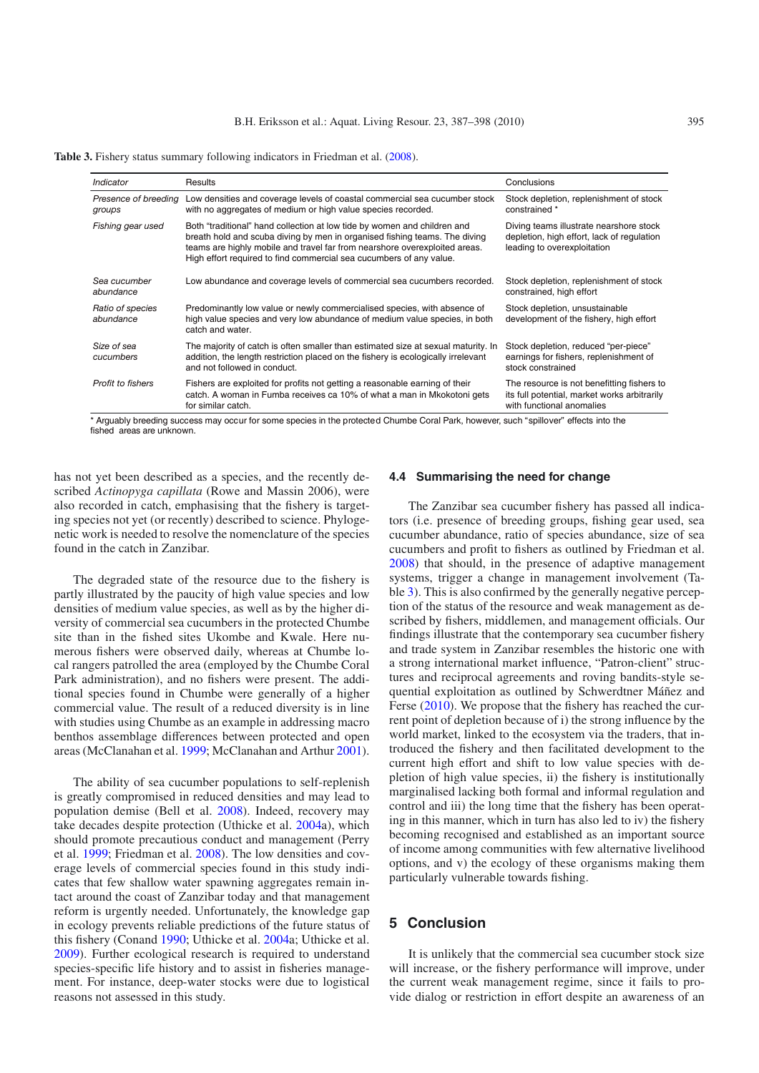<span id="page-8-0"></span>Table 3. Fishery status summary following indicators in Friedman et al. [\(2008](#page-10-14)).

| Indicator                      | Results                                                                                                                                                                                                                                                                                                     | Conclusions                                                                                                             |
|--------------------------------|-------------------------------------------------------------------------------------------------------------------------------------------------------------------------------------------------------------------------------------------------------------------------------------------------------------|-------------------------------------------------------------------------------------------------------------------------|
| Presence of breeding<br>groups | Low densities and coverage levels of coastal commercial sea cucumber stock<br>with no aggregates of medium or high value species recorded.                                                                                                                                                                  | Stock depletion, replenishment of stock<br>constrained *                                                                |
| Fishing gear used              | Both "traditional" hand collection at low tide by women and children and<br>breath hold and scuba diving by men in organised fishing teams. The diving<br>teams are highly mobile and travel far from nearshore overexploited areas.<br>High effort required to find commercial sea cucumbers of any value. | Diving teams illustrate nearshore stock<br>depletion, high effort, lack of regulation<br>leading to overexploitation    |
| Sea cucumber<br>abundance      | Low abundance and coverage levels of commercial sea cucumbers recorded.                                                                                                                                                                                                                                     | Stock depletion, replenishment of stock<br>constrained, high effort                                                     |
| Ratio of species<br>abundance  | Predominantly low value or newly commercialised species, with absence of<br>high value species and very low abundance of medium value species, in both<br>catch and water.                                                                                                                                  | Stock depletion, unsustainable<br>development of the fishery, high effort                                               |
| Size of sea<br>cucumbers       | The majority of catch is often smaller than estimated size at sexual maturity. In<br>addition, the length restriction placed on the fishery is ecologically irrelevant<br>and not followed in conduct.                                                                                                      | Stock depletion, reduced "per-piece"<br>earnings for fishers, replenishment of<br>stock constrained                     |
| Profit to fishers              | Fishers are exploited for profits not getting a reasonable earning of their<br>catch. A woman in Fumba receives ca 10% of what a man in Mkokotoni gets<br>for similar catch.                                                                                                                                | The resource is not benefitting fishers to<br>its full potential, market works arbitrarily<br>with functional anomalies |

\* Arguably breeding success may occur for some species in the protected Chumbe Coral Park, however, such "spillover" effects into the fished areas are unknown.

has not yet been described as a species, and the recently described *Actinopyga capillata* (Rowe and Massin 2006), were also recorded in catch, emphasising that the fishery is targeting species not yet (or recently) described to science. Phylogenetic work is needed to resolve the nomenclature of the species found in the catch in Zanzibar.

The degraded state of the resource due to the fishery is partly illustrated by the paucity of high value species and low densities of medium value species, as well as by the higher diversity of commercial sea cucumbers in the protected Chumbe site than in the fished sites Ukombe and Kwale. Here numerous fishers were observed daily, whereas at Chumbe local rangers patrolled the area (employed by the Chumbe Coral Park administration), and no fishers were present. The additional species found in Chumbe were generally of a higher commercial value. The result of a reduced diversity is in line with studies using Chumbe as an example in addressing macro benthos assemblage differences between protected and open areas (McClanahan et al. [1999;](#page-10-29) McClanahan and Arthur [2001](#page-10-30)).

The ability of sea cucumber populations to self-replenish is greatly compromised in reduced densities and may lead to population demise (Bell et al. [2008\)](#page-9-8). Indeed, recovery may take decades despite protection (Uthicke et al. [2004](#page-11-4)a), which should promote precautious conduct and management (Perry et al. [1999;](#page-10-4) Friedman et al. [2008\)](#page-10-14). The low densities and coverage levels of commercial species found in this study indicates that few shallow water spawning aggregates remain intact around the coast of Zanzibar today and that management reform is urgently needed. Unfortunately, the knowledge gap in ecology prevents reliable predictions of the future status of this fishery (Conand [1990;](#page-9-1) Uthicke et al. [2004a](#page-11-4); Uthicke et al. [2009\)](#page-11-5). Further ecological research is required to understand species-specific life history and to assist in fisheries management. For instance, deep-water stocks were due to logistical reasons not assessed in this study.

#### **4.4 Summarising the need for change**

The Zanzibar sea cucumber fishery has passed all indicators (i.e. presence of breeding groups, fishing gear used, sea cucumber abundance, ratio of species abundance, size of sea cucumbers and profit to fishers as outlined by Friedman et al. [2008\)](#page-10-14) that should, in the presence of adaptive management systems, trigger a change in management involvement (Table [3\)](#page-8-0). This is also confirmed by the generally negative perception of the status of the resource and weak management as described by fishers, middlemen, and management officials. Our findings illustrate that the contemporary sea cucumber fishery and trade system in Zanzibar resembles the historic one with a strong international market influence, "Patron-client" structures and reciprocal agreements and roving bandits-style sequential exploitation as outlined by Schwerdtner Máñez and Ferse [\(2010\)](#page-10-31). We propose that the fishery has reached the current point of depletion because of i) the strong influence by the world market, linked to the ecosystem via the traders, that introduced the fishery and then facilitated development to the current high effort and shift to low value species with depletion of high value species, ii) the fishery is institutionally marginalised lacking both formal and informal regulation and control and iii) the long time that the fishery has been operating in this manner, which in turn has also led to iv) the fishery becoming recognised and established as an important source of income among communities with few alternative livelihood options, and v) the ecology of these organisms making them particularly vulnerable towards fishing.

# **5 Conclusion**

It is unlikely that the commercial sea cucumber stock size will increase, or the fishery performance will improve, under the current weak management regime, since it fails to provide dialog or restriction in effort despite an awareness of an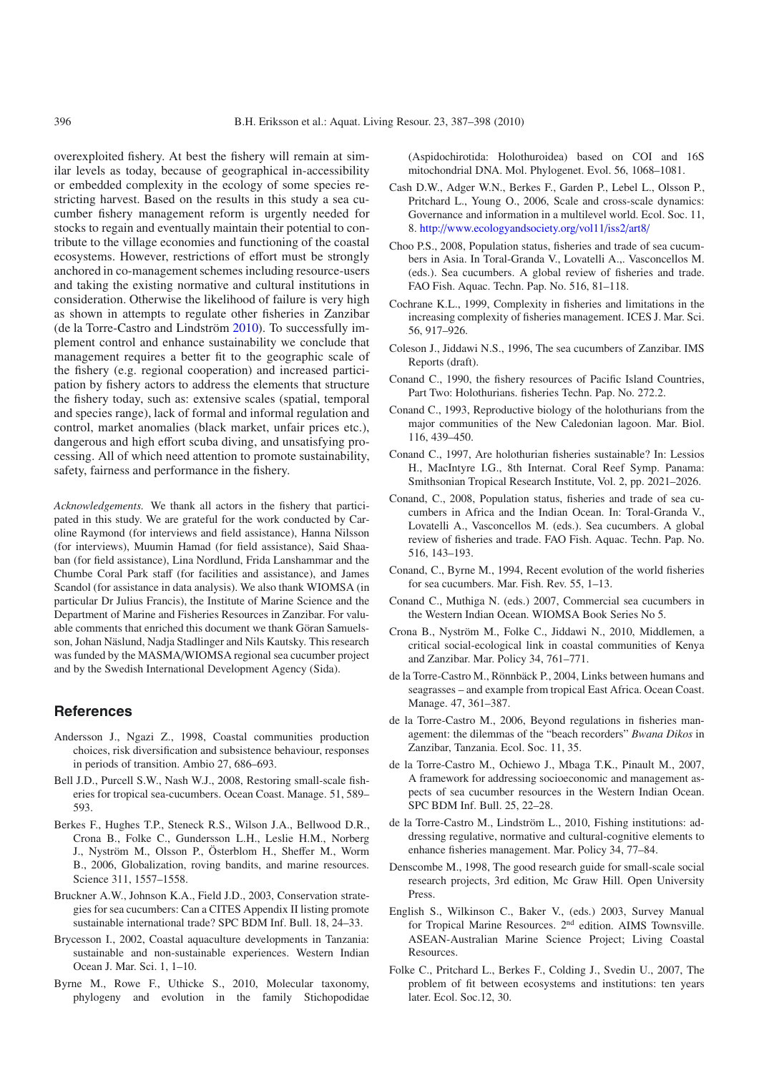overexploited fishery. At best the fishery will remain at similar levels as today, because of geographical in-accessibility or embedded complexity in the ecology of some species restricting harvest. Based on the results in this study a sea cucumber fishery management reform is urgently needed for stocks to regain and eventually maintain their potential to contribute to the village economies and functioning of the coastal ecosystems. However, restrictions of effort must be strongly anchored in co-management schemes including resource-users and taking the existing normative and cultural institutions in consideration. Otherwise the likelihood of failure is very high as shown in attempts to regulate other fisheries in Zanzibar (de la Torre-Castro and Lindström [2010\)](#page-9-0). To successfully implement control and enhance sustainability we conclude that management requires a better fit to the geographic scale of the fishery (e.g. regional cooperation) and increased participation by fishery actors to address the elements that structure the fishery today, such as: extensive scales (spatial, temporal and species range), lack of formal and informal regulation and control, market anomalies (black market, unfair prices etc.), dangerous and high effort scuba diving, and unsatisfying processing. All of which need attention to promote sustainability, safety, fairness and performance in the fishery.

*Acknowledgements.* We thank all actors in the fishery that participated in this study. We are grateful for the work conducted by Caroline Raymond (for interviews and field assistance), Hanna Nilsson (for interviews), Muumin Hamad (for field assistance), Said Shaaban (for field assistance), Lina Nordlund, Frida Lanshammar and the Chumbe Coral Park staff (for facilities and assistance), and James Scandol (for assistance in data analysis). We also thank WIOMSA (in particular Dr Julius Francis), the Institute of Marine Science and the Department of Marine and Fisheries Resources in Zanzibar. For valuable comments that enriched this document we thank Göran Samuelsson, Johan Näslund, Nadja Stadlinger and Nils Kautsky. This research was funded by the MASMA/WIOMSA regional sea cucumber project and by the Swedish International Development Agency (Sida).

# **References**

- <span id="page-9-21"></span>Andersson J., Ngazi Z., 1998, Coastal communities production choices, risk diversification and subsistence behaviour, responses in periods of transition. Ambio 27, 686–693.
- <span id="page-9-8"></span>Bell J.D., Purcell S.W., Nash W.J., 2008, Restoring small-scale fisheries for tropical sea-cucumbers. Ocean Coast. Manage. 51, 589– 593.
- <span id="page-9-17"></span>Berkes F., Hughes T.P., Steneck R.S., Wilson J.A., Bellwood D.R., Crona B., Folke C., Gundersson L.H., Leslie H.M., Norberg J., Nyström M., Olsson P., Österblom H., Sheffer M., Worm B., 2006, Globalization, roving bandits, and marine resources. Science 311, 1557–1558.
- <span id="page-9-16"></span>Bruckner A.W., Johnson K.A., Field J.D., 2003, Conservation strategies for sea cucumbers: Can a CITES Appendix II listing promote sustainable international trade? SPC BDM Inf. Bull. 18, 24–33.
- <span id="page-9-20"></span>Brycesson I., 2002, Coastal aquaculture developments in Tanzania: sustainable and non-sustainable experiences. Western Indian Ocean J. Mar. Sci. 1, 1–10.
- <span id="page-9-22"></span>Byrne M., Rowe F., Uthicke S., 2010, Molecular taxonomy, phylogeny and evolution in the family Stichopodidae

(Aspidochirotida: Holothuroidea) based on COI and 16S mitochondrial DNA. Mol. Phylogenet. Evol. 56, 1068–1081.

- <span id="page-9-14"></span>Cash D.W., Adger W.N., Berkes F., Garden P., Lebel L., Olsson P., Pritchard L., Young O., 2006, Scale and cross-scale dynamics: Governance and information in a multilevel world. Ecol. Soc. 11, 8. http://[www.ecologyandsociety.org](http://www.ecologyandsociety.org/vol11/iss2/art8/)/vol11/iss2/art8/
- <span id="page-9-19"></span>Choo P.S., 2008, Population status, fisheries and trade of sea cucumbers in Asia. In Toral-Granda V., Lovatelli A.,. Vasconcellos M. (eds.). Sea cucumbers. A global review of fisheries and trade. FAO Fish. Aquac. Techn. Pap. No. 516, 81–118.
- Cochrane K.L., 1999, Complexity in fisheries and limitations in the increasing complexity of fisheries management. ICES J. Mar. Sci. 56, 917–926.
- <span id="page-9-5"></span>Coleson J., Jiddawi N.S., 1996, The sea cucumbers of Zanzibar. IMS Reports (draft).
- <span id="page-9-1"></span>Conand C., 1990, the fishery resources of Pacific Island Countries, Part Two: Holothurians. fisheries Techn. Pap. No. 272.2.
- <span id="page-9-13"></span>Conand C., 1993, Reproductive biology of the holothurians from the major communities of the New Caledonian lagoon. Mar. Biol. 116, 439–450.
- <span id="page-9-12"></span>Conand C., 1997, Are holothurian fisheries sustainable? In: Lessios H., MacIntyre I.G., 8th Internat. Coral Reef Symp. Panama: Smithsonian Tropical Research Institute, Vol. 2, pp. 2021–2026.
- <span id="page-9-4"></span>Conand, C., 2008, Population status, fisheries and trade of sea cucumbers in Africa and the Indian Ocean. In: Toral-Granda V., Lovatelli A., Vasconcellos M. (eds.). Sea cucumbers. A global review of fisheries and trade. FAO Fish. Aquac. Techn. Pap. No. 516, 143–193.
- <span id="page-9-2"></span>Conand, C., Byrne M., 1994, Recent evolution of the world fisheries for sea cucumbers. Mar. Fish. Rev. 55, 1–13.
- <span id="page-9-3"></span>Conand C., Muthiga N. (eds.) 2007, Commercial sea cucumbers in the Western Indian Ocean. WIOMSA Book Series No 5.
- <span id="page-9-18"></span>Crona B., Nyström M., Folke C., Jiddawi N., 2010, Middlemen, a critical social-ecological link in coastal communities of Kenya and Zanzibar. Mar. Policy 34, 761–771.
- <span id="page-9-7"></span>de la Torre-Castro M., Rönnbäck P., 2004, Links between humans and seagrasses – and example from tropical East Africa. Ocean Coast. Manage. 47, 361–387.
- <span id="page-9-6"></span>de la Torre-Castro M., 2006, Beyond regulations in fisheries management: the dilemmas of the "beach recorders" *Bwana Dikos* in Zanzibar, Tanzania. Ecol. Soc. 11, 35.
- <span id="page-9-10"></span>de la Torre-Castro M., Ochiewo J., Mbaga T.K., Pinault M., 2007, A framework for addressing socioeconomic and management aspects of sea cucumber resources in the Western Indian Ocean. SPC BDM Inf. Bull. 25, 22–28.
- <span id="page-9-0"></span>de la Torre-Castro M., Lindström L., 2010, Fishing institutions: addressing regulative, normative and cultural-cognitive elements to enhance fisheries management. Mar. Policy 34, 77–84.
- <span id="page-9-9"></span>Denscombe M., 1998, The good research guide for small-scale social research projects, 3rd edition, Mc Graw Hill. Open University Press.
- <span id="page-9-11"></span>English S., Wilkinson C., Baker V., (eds.) 2003, Survey Manual for Tropical Marine Resources. 2nd edition. AIMS Townsville. ASEAN-Australian Marine Science Project; Living Coastal Resources.
- <span id="page-9-15"></span>Folke C., Pritchard L., Berkes F., Colding J., Svedin U., 2007, The problem of fit between ecosystems and institutions: ten years later. Ecol. Soc.12, 30.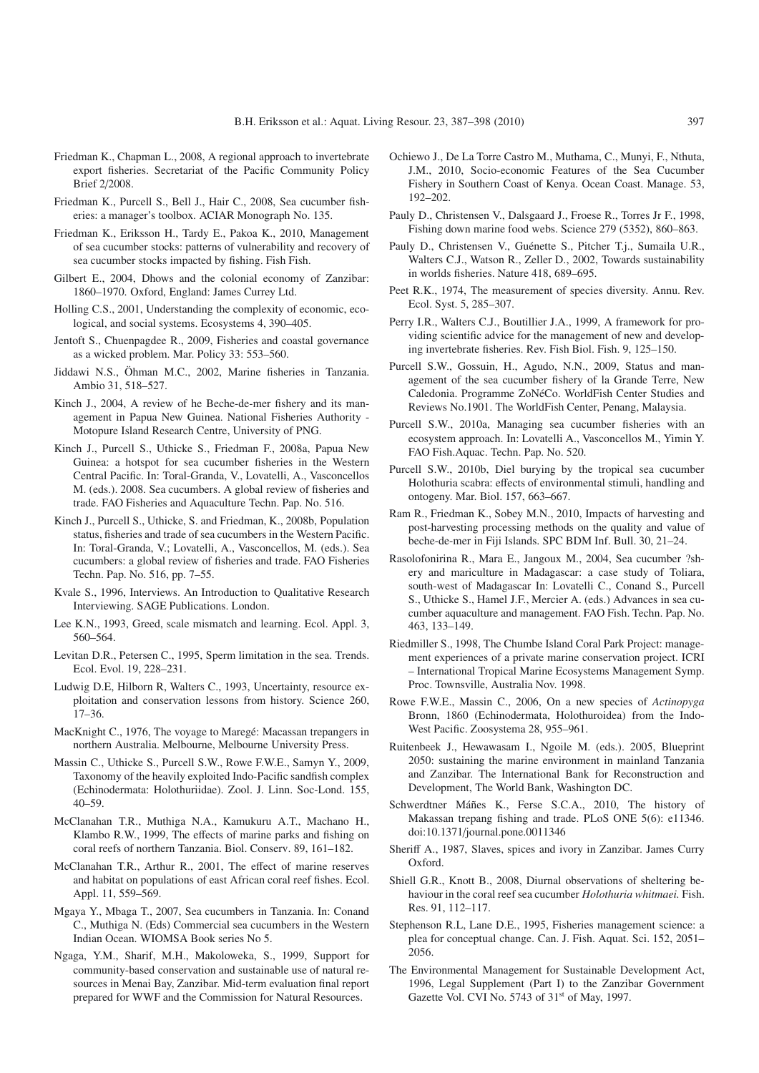- <span id="page-10-26"></span>Friedman K., Chapman L., 2008, A regional approach to invertebrate export fisheries. Secretariat of the Pacific Community Policy Brief 2/2008.
- <span id="page-10-14"></span>Friedman K., Purcell S., Bell J., Hair C., 2008, Sea cucumber fisheries: a manager's toolbox. ACIAR Monograph No. 135.
- <span id="page-10-12"></span>Friedman K., Eriksson H., Tardy E., Pakoa K., 2010, Management of sea cucumber stocks: patterns of vulnerability and recovery of sea cucumber stocks impacted by fishing. Fish Fish.
- <span id="page-10-10"></span>Gilbert E., 2004, Dhows and the colonial economy of Zanzibar: 1860–1970. Oxford, England: James Currey Ltd.
- <span id="page-10-25"></span>Holling C.S., 2001, Understanding the complexity of economic, ecological, and social systems. Ecosystems 4, 390–405.
- <span id="page-10-2"></span>Jentoft S., Chuenpagdee R., 2009, Fisheries and coastal governance as a wicked problem. Mar. Policy 33: 553–560.
- <span id="page-10-8"></span>Jiddawi N.S., Öhman M.C., 2002, Marine fisheries in Tanzania. Ambio 31, 518–527.
- Kinch J., 2004, A review of he Beche-de-mer fishery and its management in Papua New Guinea. National Fisheries Authority - Motopure Island Research Centre, University of PNG.
- <span id="page-10-23"></span>Kinch J., Purcell S., Uthicke S., Friedman F., 2008a, Papua New Guinea: a hotspot for sea cucumber fisheries in the Western Central Pacific. In: Toral-Granda, V., Lovatelli, A., Vasconcellos M. (eds.). 2008. Sea cucumbers. A global review of fisheries and trade. FAO Fisheries and Aquaculture Techn. Pap. No. 516.
- Kinch J., Purcell S., Uthicke, S. and Friedman, K., 2008b, Population status, fisheries and trade of sea cucumbers in the Western Pacific. In: Toral-Granda, V.; Lovatelli, A., Vasconcellos, M. (eds.). Sea cucumbers: a global review of fisheries and trade. FAO Fisheries Techn. Pap. No. 516, pp. 7–55.
- <span id="page-10-15"></span>Kvale S., 1996, Interviews. An Introduction to Qualitative Research Interviewing. SAGE Publications. London.
- <span id="page-10-24"></span>Lee K.N., 1993, Greed, scale mismatch and learning. Ecol. Appl. 3, 560–564.
- Levitan D.R., Petersen C., 1995, Sperm limitation in the sea. Trends. Ecol. Evol. 19, 228–231.
- <span id="page-10-3"></span>Ludwig D.E, Hilborn R, Walters C., 1993, Uncertainty, resource exploitation and conservation lessons from history. Science 260, 17–36.
- <span id="page-10-5"></span>MacKnight C., 1976, The voyage to Maregé: Macassan trepangers in northern Australia. Melbourne, Melbourne University Press.
- <span id="page-10-27"></span>Massin C., Uthicke S., Purcell S.W., Rowe F.W.E., Samyn Y., 2009, Taxonomy of the heavily exploited Indo-Pacific sandfish complex (Echinodermata: Holothuriidae). Zool. J. Linn. Soc-Lond. 155, 40–59.
- <span id="page-10-29"></span>McClanahan T.R., Muthiga N.A., Kamukuru A.T., Machano H., Klambo R.W., 1999, The effects of marine parks and fishing on coral reefs of northern Tanzania. Biol. Conserv. 89, 161–182.
- <span id="page-10-30"></span>McClanahan T.R., Arthur R., 2001, The effect of marine reserves and habitat on populations of east African coral reef fishes. Ecol. Appl. 11, 559–569.
- <span id="page-10-13"></span>Mgaya Y., Mbaga T., 2007, Sea cucumbers in Tanzania. In: Conand C., Muthiga N. (Eds) Commercial sea cucumbers in the Western Indian Ocean. WIOMSA Book series No 5.
- <span id="page-10-20"></span>Ngaga, Y.M., Sharif, M.H., Makoloweka, S., 1999, Support for community-based conservation and sustainable use of natural resources in Menai Bay, Zanzibar. Mid-term evaluation final report prepared for WWF and the Commission for Natural Resources.
- <span id="page-10-6"></span>Ochiewo J., De La Torre Castro M., Muthama, C., Munyi, F., Nthuta, J.M., 2010, Socio-economic Features of the Sea Cucumber Fishery in Southern Coast of Kenya. Ocean Coast. Manage. 53, 192–202.
- <span id="page-10-1"></span>Pauly D., Christensen V., Dalsgaard J., Froese R., Torres Jr F., 1998, Fishing down marine food webs. Science 279 (5352), 860–863.
- <span id="page-10-0"></span>Pauly D., Christensen V., Guénette S., Pitcher T.j., Sumaila U.R., Walters C.J., Watson R., Zeller D., 2002, Towards sustainability in worlds fisheries. Nature 418, 689–695.
- <span id="page-10-21"></span>Peet R.K., 1974, The measurement of species diversity. Annu. Rev. Ecol. Syst. 5, 285–307.
- <span id="page-10-4"></span>Perry I.R., Walters C.J., Boutillier J.A., 1999, A framework for providing scientific advice for the management of new and developing invertebrate fisheries. Rev. Fish Biol. Fish. 9, 125–150.
- <span id="page-10-16"></span>Purcell S.W., Gossuin, H., Agudo, N.N., 2009, Status and management of the sea cucumber fishery of la Grande Terre, New Caledonia. Programme ZoNéCo. WorldFish Center Studies and Reviews No.1901. The WorldFish Center, Penang, Malaysia.
- <span id="page-10-7"></span>Purcell S.W., 2010a, Managing sea cucumber fisheries with an ecosystem approach. In: Lovatelli A., Vasconcellos M., Yimin Y. FAO Fish.Aquac. Techn. Pap. No. 520.
- <span id="page-10-18"></span>Purcell S.W., 2010b, Diel burying by the tropical sea cucumber Holothuria scabra: effects of environmental stimuli, handling and ontogeny. Mar. Biol. 157, 663–667.
- <span id="page-10-28"></span>Ram R., Friedman K., Sobey M.N., 2010, Impacts of harvesting and post-harvesting processing methods on the quality and value of beche-de-mer in Fiji Islands. SPC BDM Inf. Bull. 30, 21–24.
- <span id="page-10-22"></span>Rasolofonirina R., Mara E., Jangoux M., 2004, Sea cucumber ?shery and mariculture in Madagascar: a case study of Toliara, south-west of Madagascar In: Lovatelli C., Conand S., Purcell S., Uthicke S., Hamel J.F., Mercier A. (eds.) Advances in sea cucumber aquaculture and management. FAO Fish. Techn. Pap. No. 463, 133–149.
- <span id="page-10-19"></span>Riedmiller S., 1998, The Chumbe Island Coral Park Project: management experiences of a private marine conservation project. ICRI – International Tropical Marine Ecosystems Management Symp. Proc. Townsville, Australia Nov. 1998.
- Rowe F.W.E., Massin C., 2006, On a new species of *Actinopyga* Bronn, 1860 (Echinodermata, Holothuroidea) from the Indo-West Pacific. Zoosystema 28, 955–961.
- <span id="page-10-11"></span>Ruitenbeek J., Hewawasam I., Ngoile M. (eds.). 2005, Blueprint 2050: sustaining the marine environment in mainland Tanzania and Zanzibar. The International Bank for Reconstruction and Development, The World Bank, Washington DC.
- <span id="page-10-31"></span>Schwerdtner Máñes K., Ferse S.C.A., 2010, The history of Makassan trepang fishing and trade. PLoS ONE 5(6): e11346. doi:10.1371/journal.pone.0011346
- <span id="page-10-9"></span>Sheriff A., 1987, Slaves, spices and ivory in Zanzibar. James Curry Oxford.
- <span id="page-10-17"></span>Shiell G.R., Knott B., 2008, Diurnal observations of sheltering behaviour in the coral reef sea cucumber *Holothuria whitmaei.* Fish. Res. 91, 112–117.
- Stephenson R.L, Lane D.E., 1995, Fisheries management science: a plea for conceptual change. Can. J. Fish. Aquat. Sci. 152, 2051– 2056.
- The Environmental Management for Sustainable Development Act, 1996, Legal Supplement (Part I) to the Zanzibar Government Gazette Vol. CVI No. 5743 of 31<sup>st</sup> of May, 1997.